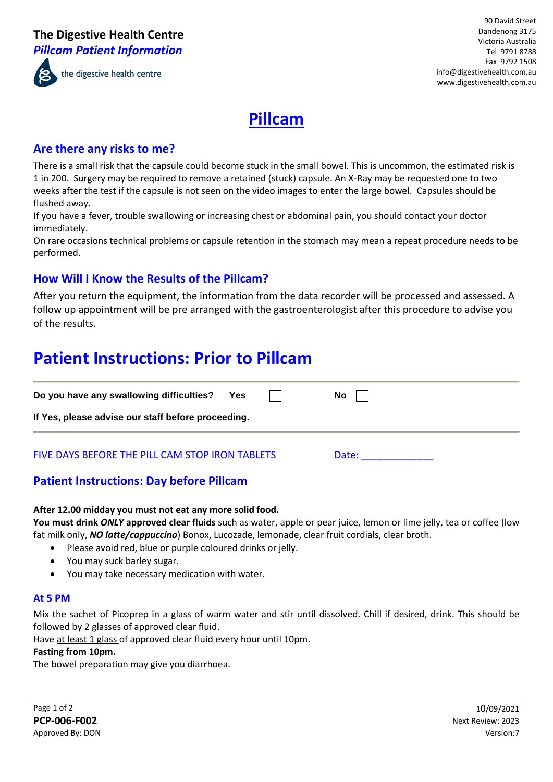

### **Are there any risks to me?**

There is a small risk that the capsule could become stuck in the small bowel. This is uncommon, the estimated risk is 1 in 200. Surgery may be required to remove a retained (stuck) capsule. An X-Ray may be requested one to two weeks after the test if the capsule is not seen on the video images to enter the large bowel. Capsules should be flushed away.

If you have a fever, trouble swallowing or increasing chest or abdominal pain, you should contact your doctor immediately.

On rare occasions technical problems or capsule retention in the stomach may mean a repeat procedure needs to be performed.

## **How Will I Know the Results of the Pillcam?**

After you return the equipment, the information from the data recorder will be processed and assessed. A follow up appointment will be pre arranged with the gastroenterologist after this procedure to advise you of the results.

## **Patient Instructions: Prior to Pillcam**

| Do you have any swallowing difficulties?           | Yes |  | No l  |  |  |  |
|----------------------------------------------------|-----|--|-------|--|--|--|
| If Yes, please advise our staff before proceeding. |     |  |       |  |  |  |
| FIVE DAYS BEFORE THE PILL CAM STOP IRON TABLETS    |     |  | Date: |  |  |  |

## **Patient Instructions: Day before Pillcam**

#### **After 12.00 midday you must not eat any more solid food.**

**You must drink** *ONLY* **approved clear fluids** such as water, apple or pear juice, lemon or lime jelly, tea or coffee (low fat milk only, *NO latte/cappuccino*) Bonox, Lucozade, lemonade, clear fruit cordials, clear broth.

- Please avoid red, blue or purple coloured drinks or jelly.
- You may suck barley sugar.
- You may take necessary medication with water.

#### **At 5 PM**

Mix the sachet of Picoprep in a glass of warm water and stir until dissolved. Chill if desired, drink. This should be followed by 2 glasses of approved clear fluid.

Have at least 1 glass of approved clear fluid every hour until 10pm.

#### **Fasting from 10pm.**

The bowel preparation may give you diarrhoea.